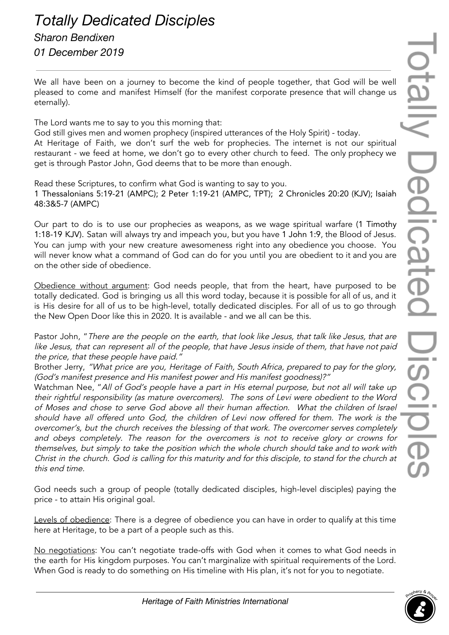## *Totally Dedicated Disciples Sharon Bendixen 01 December 2019*

We all have been on a journey to become the kind of people together, that God will be well pleased to come and manifest Himself (for the manifest corporate presence that will change us eternally).

The Lord wants me to say to you this morning that:

God still gives men and women prophecy (inspired utterances of the Holy Spirit) - today. At Heritage of Faith, we don't surf the web for prophecies. The internet is not our spiritual restaurant - we feed at home, we don't go to every other church to feed. The only prophecy we get is through Pastor John, God deems that to be more than enough.

Read these Scriptures, to confirm what God is wanting to say to you. 1 Thessalonians 5:19-21 (AMPC); 2 Peter 1:19-21 (AMPC, TPT); 2 Chronicles 20:20 (KJV); Isaiah 48:3&5-7 (AMPC)

Our part to do is to use our prophecies as weapons, as we wage spiritual warfare (1 Timothy 1:18-19 KJV). Satan will always try and impeach you, but you have 1 John 1:9, the Blood of Jesus. You can jump with your new creature awesomeness right into any obedience you choose. You will never know what a command of God can do for you until you are obedient to it and you are on the other side of obedience.

Obedience without argument: God needs people, that from the heart, have purposed to be totally dedicated. God is bringing us all this word today, because it is possible for all of us, and it is His desire for all of us to be high-level, totally dedicated disciples. For all of us to go through the New Open Door like this in 2020. It is available - and we all can be this.

Pastor John, "There are the people on the earth, that look like Jesus, that talk like Jesus, that are like Jesus, that can represent all of the people, that have Jesus inside of them, that have not paid the price, that these people have paid."

Brother Jerry, "What price are you, Heritage of Faith, South Africa, prepared to pay for the <sup>g</sup>lory, (God's manifest presence and His manifest power and His manifest goodness)?"

Watchman Nee, "All of God's people have <sup>a</sup> part in His eternal purpose, but not all will take up their rightful responsibility (as mature overcomers). The sons of Levi were obedient to the Word of Moses and chose to serve God above all their human affection. What the children of Israel should have all offered unto God, the children of Levi now offered for them. The work is the overcomer's, but the church receives the blessing of that work. The overcomer serves completely and obeys completely. The reason for the overcomers is not to receive <sup>g</sup>lory or crowns for themselves, but simply to take the position which the whole church should take and to work with Christ in the church. God is calling for this maturity and for this disciple, to stand for the church at this end time.

God needs such a group of people (totally dedicated disciples, high-level disciples) paying the price - to attain His original goal.

Levels of obedience: There is a degree of obedience you can have in order to qualify at this time here at Heritage, to be a part of a people such as this.

No negotiations: You can't negotiate trade-offs with God when it comes to what God needs in the earth for His kingdom purposes. You can't marginalize with spiritual requirements of the Lord. When God is ready to do something on His timeline with His plan, it's not for you to negotiate.